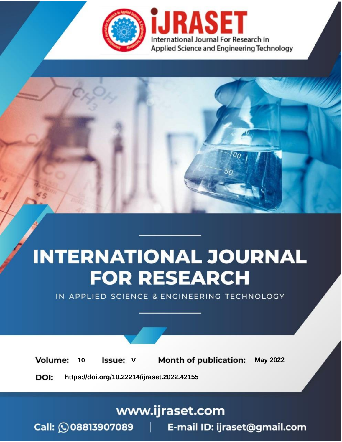

# **INTERNATIONAL JOURNAL FOR RESEARCH**

IN APPLIED SCIENCE & ENGINEERING TECHNOLOGY

Volume: **Month of publication: May 2022** 10 **Issue: V** 

DOI: https://doi.org/10.22214/ijraset.2022.42155

www.ijraset.com

Call: 008813907089 | E-mail ID: ijraset@gmail.com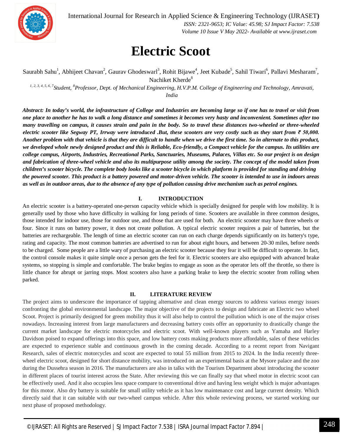

International Journal for Research in Applied Science & Engineering Technology (IJRASET**)**

 *ISSN: 2321-9653; IC Value: 45.98; SJ Impact Factor: 7.538 Volume 10 Issue V May 2022- Available at www.ijraset.com*

### **Electric Scoot**

Saurabh Sahu<sup>1</sup>, Abhijeet Chavan<sup>2</sup>, Gaurav Ghodeswarl<sup>3</sup>, Rohit Bijawe<sup>4</sup>, Jeet Kubade<sup>5</sup>, Sahil Tiwari<sup>6</sup>, Pallavi Mesharam<sup>7</sup>, Nachiket Kherde<sup>8</sup>

*1, 2, 3, 4, 5, 6, 7 Student, <sup>8</sup>Professor, Dept. of Mechanical Engineering, H.V.P.M. College of Engineering and Technology, Amravati, India*

*Abstract: In today's world, the infrastructure of College and Industries are becoming large so if one has to travel or visit from one place to another he has to walk a long distance and sometimes it becomes very hasty and inconvenient. Sometimes after too many travelling on campus, it causes strain and pain in the body. So to travel these distances two-wheeled or three-wheeled electric scooter like Segway PT, Irrway were introduced .But, these scooters are very costly such as they start from ₹ 50,000. Another problem with that vehicle is that they are difficult to handle when we drive the first time. So in alternate to this product, we developed whole newly designed product and this is Reliable, Eco-friendly, a Compact vehicle for the campus. Its utilities are college campus, Airports, Industries, Recreational Parks, Sanctuaries, Museums, Palaces, Villas etc. So our project is on design and fabrication of three-wheel vehicle and also its multipurpose utility among the society. The concept of the model taken from children's scooter bicycle. The complete body looks like a scooter bicycle in which platform is provided for standing and driving the powered scooter. This product is a battery powered and motor-driven vehicle. The scooter is intended to use in indoors areas as well as in outdoor areas, due to the absence of any type of pollution causing drive mechanism such as petrol engines.*

#### **I. INTRODUCTION**

An electric scooter is a battery-operated one-person capacity vehicle which is specially designed for people with low mobility. It is generally used by those who have difficulty in walking for long periods of time. Scooters are available in three common designs, those intended for indoor use, those for outdoor use, and those that are used for both. An electric scooter may have three wheels or four. Since it runs on battery power, it does not create pollution. A typical electric scooter requires a pair of batteries, but the batteries are rechargeable. The length of time an electric scooter can run on each charge depends significantly on its battery's type, rating and capacity. The most common batteries are advertised to run for about eight hours, and between 20-30 miles, before needs to be charged. Some people are a little wary of purchasing an electric scooter because they fear it will be difficult to operate. In fact, the control console makes it quite simple once a person gets the feel for it. Electric scooters are also equipped with advanced brake systems, so stopping is simple and comfortable. The brake begins to engage as soon as the operator lets off the throttle, so there is little chance for abrupt or jarring stops. Most scooters also have a parking brake to keep the electric scooter from rolling when parked.

#### **II. LITERATURE REVIEW**

The project aims to underscore the importance of tapping alternative and clean energy sources to address various energy issues confronting the global environmental landscape. The major objective of the projects to design and fabricate an Electric two wheel Scoot. Project is primarily designed for green mobility thus it will also help to control the pollution which is one of the major crises nowadays. Increasing interest from large manufacturers and decreasing battery costs offer an opportunity to drastically change the current market landscape for electric motorcycles and electric scoot. With well-known players such as Yamaha and Harley Davidson poised to expand offerings into this space, and low battery costs making products more affordable, sales of these vehicles are expected to experience stable and continuous growth in the coming decade. According to a recent report from Navigant Research, sales of electric motorcycles and scoot are expected to total 55 million from 2015 to 2024. In the India recently threewheel electric scoot, designed for short distance mobility, was introduced on an experimental basis at the Mysore palace and the zoo during the Dussehra season in 2016. The manufacturers are also in talks with the Tourism Department about introducing the scooter in different places of tourist interest across the State. After reviewing this we can finally say that wheel motor in electric scoot can be effectively used. And it also occupies less space compare to conventional drive and having less weight which is major advantages for this motor. Also dry battery is suitable for small utility vehicle as it has low maintenance cost and large current density. Which directly said that it can suitable with our two-wheel campus vehicle. After this whole reviewing process, we started working our next phase of proposed methodology.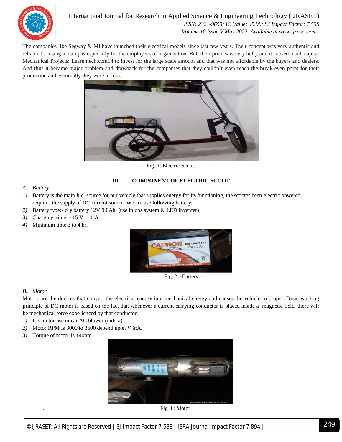

#### International Journal for Research in Applied Science & Engineering Technology (IJRASET**)**  *ISSN: 2321-9653; IC Value: 45.98; SJ Impact Factor: 7.538*

 *Volume 10 Issue V May 2022- Available at www.ijraset.com*

The companies like Segway & MI have launched their electrical models since last few years. Their concept was very authentic and reliable for using in campus especially for the employees of organization. But, their price was very hefty and it caused much capital Mechanical Projects: Learnmech.com14 to invest for the large scale amount and that was not affordable by the buyers and dealers. And thus it became major problem and drawback for the companies that they couldn't even reach the break-even point for their production and eventually they were in loss.



Fig. 1: Electric Scoot.

#### **III. COMPONENT OF ELECTRIC SCOOT**

#### *A. Battery*

- *1)* Battery is the main fuel source for our vehicle that supplies energy for its functioning, the scooter been electric powered requires the supply of DC current source. We are use following battery.
- *2)* Battery type:- dry battery 12V 9.0Ah. (use in ups system & LED inventer)
- *3)* Charging time :- 15 V , 1 A
- *4)* Minimum time 3 to 4 hr.



Fig. 2 :-Battery

#### *B. Motor*

Motors are the devices that convert the electrical energy into mechanical energy and causes the vehicle to propel. Basic working principle of DC motor is based on the fact that whenever a current carrying conductor is placed inside a magnetic field, there will be mechanical force experienced by that conductor.

- *1)* It's motor use in car AC blower (indica)
- *2)* Motor RPM is 3000 to 3600 depend upon V &A.
- *3)* Torque of motor is 140nm.



. Fig 3 : Motor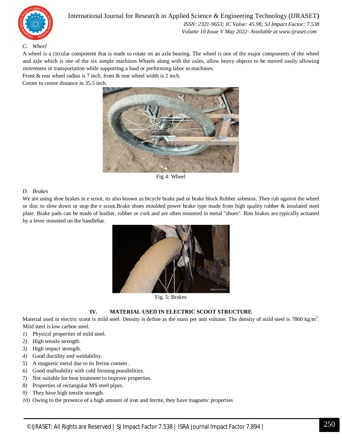

International Journal for Research in Applied Science & Engineering Technology (IJRASET**)**  *ISSN: 2321-9653; IC Value: 45.98; SJ Impact Factor: 7.538*

 *Volume 10 Issue V May 2022- Available at www.ijraset.com*

#### *C. Wheel*

A wheel is a circular component that is made to rotate on an axle bearing. The wheel is one of the major components of the wheel and axle which is one of the six simple machines.Wheels along with the axles, allow heavy objects to be moved easily allowing movement or transportation while supporting a load or performing labor in machines.

Front & rear wheel radius is 7 inch. front & rear wheel width is 2 inch.

Center to center distance in 35.5 inch.



Fig 4: Wheel

#### *D. Brakes*

We are using shoe brakes in e scoot, its also known as bicycle brake pad or brake block Rubber asbestos. They rub against the wheel or disc to slow down or stop the e scoot.Brake shoes moulded power brake type made from high quality rubber & insulated steel plate. Brake pads can be made of leather, rubber or cork and are often mounted in metal "shoes". Rim brakes are typically actuated by a lever mounted on the handlebar.



Fig. 5: Brakes

#### **IV. MATERIAL USED IN ELECTRIC SCOOT STRUCTURE**

Material used in electric scoot is mild steel. Density is define as the mass per unit volume. The density of mild steel is 7860 kg/m<sup>3</sup>. Mild steel is low carbon steel.

- *1)* Physical properties of mild steel.
- *2)* High tensile strength.
- *3)* High impact strength.
- *4)* Good ductility and weldability.
- *5)* A magnetic metal due to its ferrite content .
- *6)* Good malleability with cold forming possibilities.
- *7)* Not suitable for heat treatment to improve properties.
- *8)* Properties of rectangular MS steel pipes.
- *9)* They have high tensile strength.
- *10)* Owing to the presence of a high amount of iron and ferrite, they have magnetic properties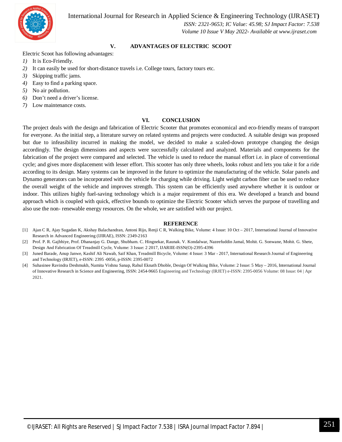International Journal for Research in Applied Science & Engineering Technology (IJRASET**)**



 *ISSN: 2321-9653; IC Value: 45.98; SJ Impact Factor: 7.538 Volume 10 Issue V May 2022- Available at www.ijraset.com*

#### **V. ADVANTAGES OF ELECTRIC SCOOT**

Electric Scoot has following advantages:

- *1)* It is Eco-Friendly.
- *2)* It can easily be used for short-distance travels i.e. College tours, factory tours etc.
- *3)* Skipping traffic jams.
- *4)* Easy to find a parking space.
- *5)* No air pollution.
- *6)* Don't need a driver's license.
- *7)* Low maintenance costs.

#### **VI. CONCLUSION**

The project deals with the design and fabrication of Electric Scooter that promotes economical and eco-friendly means of transport for everyone. As the initial step, a literature survey on related systems and projects were conducted. A suitable design was proposed but due to infeasibility incurred in making the model, we decided to make a scaled-down prototype changing the design accordingly. The design dimensions and aspects were successfully calculated and analyzed. Materials and components for the fabrication of the project were compared and selected. The vehicle is used to reduce the manual effort i.e. in place of conventional cycle; and gives more displacement with lesser effort. This scooter has only three wheels, looks robust and lets you take it for a ride according to its design. Many systems can be improved in the future to optimize the manufacturing of the vehicle. Solar panels and Dynamo generators can be incorporated with the vehicle for charging while driving. Light weight carbon fiber can be used to reduce the overall weight of the vehicle and improves strength. This system can be efficiently used anywhere whether it is outdoor or indoor. This utilizes highly fuel-saving technology which is a major requirement of this era. We developed a branch and bound approach which is coupled with quick, effective bounds to optimize the Electric Scooter which serves the purpose of travelling and also use the non- renewable energy resources. On the whole, we are satisfied with our project.

#### **REFERENCE**

- [1] Ajan C R, Ajay Sugadan K, Akshay Balachandran, Antoni Rijo, Renji C R, Walking Bike, Volume: 4 Issue: 10 Oct 2017, International Journal of Innovative Research in Advanced Engineering (IJIRAE), ISSN: 2349-2163
- [2] Prof. P. R. Gajbhiye, Prof. Dhananjay G. Dange, Shubham. C. Hingnekar, Raunak. V. Kondalwar, Nazeefuddin Jamal, Mohit. G. Sonwane, Mohit. G. Shete, Design And Fabrication Of Treadmill Cycle, Volume: 3 Issue: 2 2017, IJARIIE-ISSN(O)-2395-4396
- [3] Juned Barade, Anup Janwe, Kashif Ali Nawab, Saif Khan, Treadmill Bicycle, Volume: 4 Issue: 3 Mar 2017, International Research Journal of Engineering and Technology (IRJET), e-ISSN: 2395 -0056, p-ISSN: 2395-0072
- [4] Suhasinee Ravindra Deshmukh, Namita Vishnu Sanap, Rahul Eknath Dhoble, Design Of Walking Bike, Volume: 2 Issue: 5 May 2016, International Journal of Innovative Research in Science and Engineering, ISSN: 2454-9665 Engineering and Technology (IRJET) e-ISSN: 2395-0056 Volume: 08 Issue: 04 | Apr 2021.